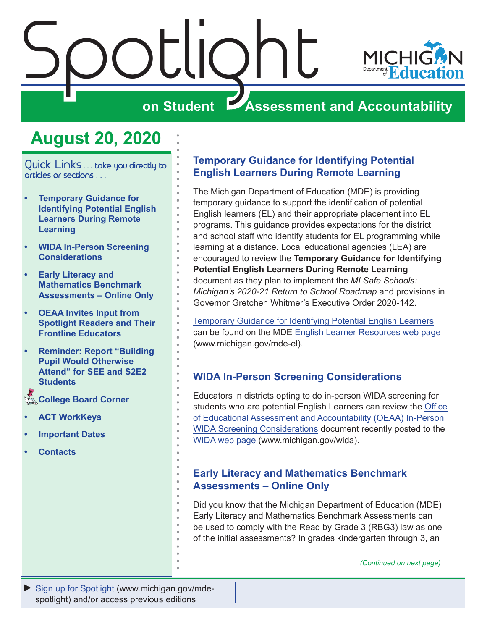<span id="page-0-0"></span>

### **August 20, 2020**

Quick Links . . . take you directly to articles or sections . . .

- **• Temporary Guidance for Identifying Potential English Learners During Remote Learning**
- **• WIDA In-Person Screening Considerations**
- **• Early Literacy and Mathematics Benchmark Assessments – Online Only**
- **• [OEAA Invites Input from](#page-2-0)  [Spotlight Readers and Their](#page-2-0)  [Frontline Educators](#page-2-0)**
- **• [Reminder: Report "Building](#page-3-0)  [Pupil Would Otherwise](#page-3-0)  [Attend" for SEE and S2E2](#page-3-0)  [Students](#page-3-0)**
- **College Board Corner**
- **• [ACT WorkKeys](#page-6-0)**
- **• [Important Dates](#page-7-0)**
- **• [Contacts](#page-8-0)**

### **Temporary Guidance for Identifying Potential English Learners During Remote Learning**

The Michigan Department of Education (MDE) is providing temporary guidance to support the identification of potential English learners (EL) and their appropriate placement into EL programs. This guidance provides expectations for the district and school staff who identify students for EL programming while learning at a distance. Local educational agencies (LEA) are encouraged to review the **Temporary Guidance for Identifying Potential English Learners During Remote Learning** document as they plan to implement the *MI Safe Schools: Michigan's 2020-21 Return to School Roadmap* and provisions in Governor Gretchen Whitmer's Executive Order 2020-142.

[Temporary Guidance for Identifying Potential English Learners](https://www.michigan.gov/documents/mde/Temporary_Guidance_ELL_699656_7.pdf) can be found on the [MDE English Learner Resources web page](http://www.michigan.gov/mde-el) (www.michigan.gov/mde-el).

### **WIDA In-Person Screening Considerations**

Educators in districts opting to do in-person WIDA screening for students who are potential English Learners can review the [Office](https://www.michigan.gov/documents/mde/In-Person_WIDA_Screening_Considerations_698862_7.pdf)  [of Educational Assessment and Accountability \(OEAA\) In-Person](https://www.michigan.gov/documents/mde/In-Person_WIDA_Screening_Considerations_698862_7.pdf)  [WIDA Screening Considerations](https://www.michigan.gov/documents/mde/In-Person_WIDA_Screening_Considerations_698862_7.pdf) document recently posted to the [WIDA web page](http://www.michigan.gov/wida) (www.michigan.gov/wida).

### **Early Literacy and Mathematics Benchmark Assessments – Online Only**

Did you know that the Michigan Department of Education (MDE) Early Literacy and Mathematics Benchmark Assessments can be used to comply with the Read by Grade 3 (RBG3) law as one of the initial assessments? In grades kindergarten through 3, an

*(Continued on next page)*

*►* [Sign up for Spotlight](https://public.govdelivery.com/accounts/MIMDE/subscriber/new) [\(www.michigan.gov/mde](www.michigan.gov/mde-spotlight)spotlight) and/or access previous editions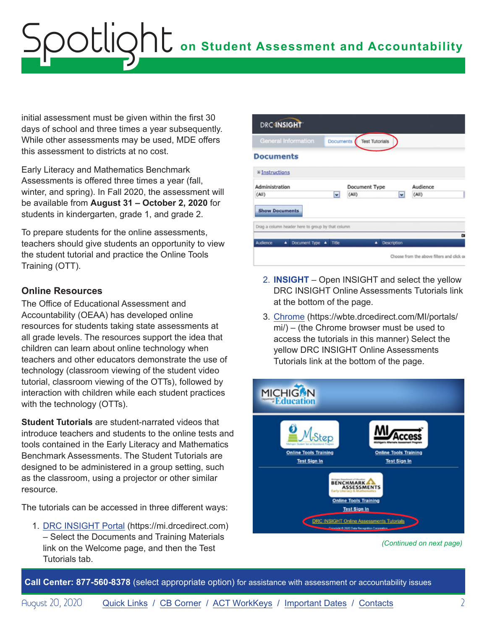initial assessment must be given within the first 30 days of school and three times a year subsequently. While other assessments may be used, MDE offers this assessment to districts at no cost.

Early Literacy and Mathematics Benchmark Assessments is offered three times a year (fall, winter, and spring). In Fall 2020, the assessment will be available from **August 31 – October 2, 2020** for students in kindergarten, grade 1, and grade 2.

To prepare students for the online assessments, teachers should give students an opportunity to view the student tutorial and practice the Online Tools Training (OTT).

### **Online Resources**

The Office of Educational Assessment and Accountability (OEAA) has developed online resources for students taking state assessments at all grade levels. The resources support the idea that children can learn about online technology when teachers and other educators demonstrate the use of technology (classroom viewing of the student video tutorial, classroom viewing of the OTTs), followed by interaction with children while each student practices with the technology (OTTs).

**Student Tutorials** are student-narrated videos that introduce teachers and students to the online tests and tools contained in the Early Literacy and Mathematics Benchmark Assessments. The Student Tutorials are designed to be administered in a group setting, such as the classroom, using a projector or other similar resource.

The tutorials can be accessed in three different ways:

1. [DRC INSIGHT Portal](https://mi.drcedirect.com) (https://mi.drcedirect.com) – Select the Documents and Training Materials link on the Welcome page, and then the Test Tutorials tab.

| <b>Test Tutorials</b><br><b>Documents</b>         |                                            |
|---------------------------------------------------|--------------------------------------------|
|                                                   |                                            |
|                                                   |                                            |
| Document Type                                     | Audience                                   |
| (AII)<br>v                                        | (All)                                      |
|                                                   |                                            |
| Drag a column header here to group by that column |                                            |
| Description<br>٠                                  | $\mathbf{r}$                               |
|                                                   | Choose from the above filters and click or |
|                                                   |                                            |

- 2. **INSIGHT** Open INSIGHT and select the yellow DRC INSIGHT Online Assessments Tutorials link at the bottom of the page.
- 3. [Chrome](https://wbte.drcedirect.com/MI/portals/mi/) (https://wbte.drcedirect.com/MI/portals/ mi/) – (the Chrome browser must be used to access the tutorials in this manner) Select the yellow DRC INSIGHT Online Assessments Tutorials link at the bottom of the page.



*(Continued on next page)*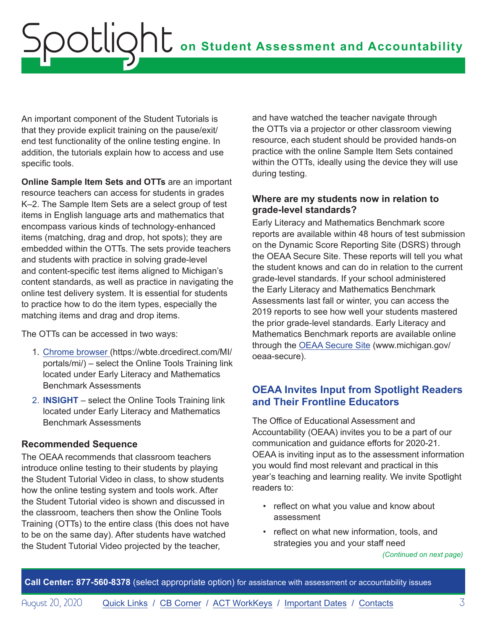<span id="page-2-0"></span>An important component of the Student Tutorials is that they provide explicit training on the pause/exit/ end test functionality of the online testing engine. In addition, the tutorials explain how to access and use specific tools.

**Online Sample Item Sets and OTTs** are an important resource teachers can access for students in grades K–2. The Sample Item Sets are a select group of test items in English language arts and mathematics that encompass various kinds of technology-enhanced items (matching, drag and drop, hot spots); they are embedded within the OTTs. The sets provide teachers and students with practice in solving grade-level and content-specific test items aligned to Michigan's content standards, as well as practice in navigating the online test delivery system. It is essential for students to practice how to do the item types, especially the matching items and drag and drop items.

The OTTs can be accessed in two ways:

- 1. [Chrome browser](https://wbte.drcedirect.com/MI/portals/mi/) (https://wbte.drcedirect.com/MI/ portals/mi/) – select the Online Tools Training link located under Early Literacy and Mathematics Benchmark Assessments
- 2. **INSIGHT** select the Online Tools Training link located under Early Literacy and Mathematics Benchmark Assessments

### **Recommended Sequence**

The OEAA recommends that classroom teachers introduce online testing to their students by playing the Student Tutorial Video in class, to show students how the online testing system and tools work. After the Student Tutorial video is shown and discussed in the classroom, teachers then show the Online Tools Training (OTTs) to the entire class (this does not have to be on the same day). After students have watched the Student Tutorial Video projected by the teacher,

and have watched the teacher navigate through the OTTs via a projector or other classroom viewing resource, each student should be provided hands-on practice with the online Sample Item Sets contained within the OTTs, ideally using the device they will use during testing.

### **Where are my students now in relation to grade-level standards?**

Early Literacy and Mathematics Benchmark score reports are available within 48 hours of test submission on the Dynamic Score Reporting Site (DSRS) through the OEAA Secure Site. These reports will tell you what the student knows and can do in relation to the current grade-level standards. If your school administered the Early Literacy and Mathematics Benchmark Assessments last fall or winter, you can access the 2019 reports to see how well your students mastered the prior grade-level standards. Early Literacy and Mathematics Benchmark reports are available online through the [OEAA Secure Site](http://www.michigan.gov/oeaa-secure) (www.michigan.gov/ oeaa-secure).

### **OEAA Invites Input from Spotlight Readers and Their Frontline Educators**

The Office of Educational Assessment and Accountability (OEAA) invites you to be a part of our communication and guidance efforts for 2020-21. OEAA is inviting input as to the assessment information you would find most relevant and practical in this year's teaching and learning reality. We invite Spotlight readers to:

- reflect on what you value and know about assessment
- reflect on what new information, tools, and strategies you and your staff need

*(Continued on next page)*

**Call Center: 877-560-8378** (select appropriate option) for assistance with assessment or accountability issues

August 20, 2020 **[Quick Links](#page-0-0) / [CB Corner](#page-4-1) / [ACT WorkKeys](#page-6-0) / [Important Dates](#page-7-1) / [Contacts](#page-8-1)** 3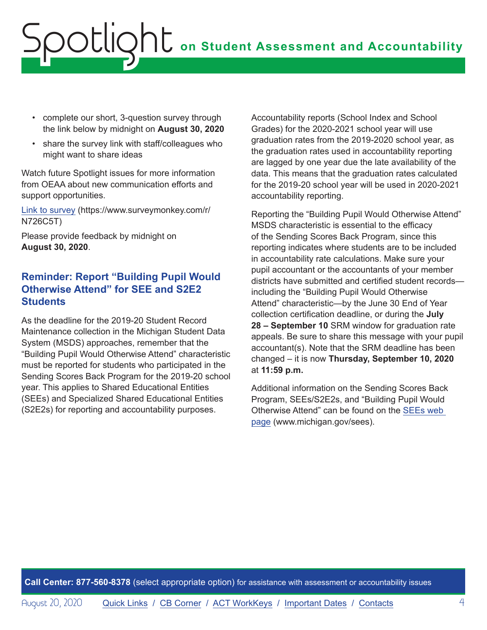- <span id="page-3-0"></span>• complete our short, 3-question survey through the link below by midnight on **August 30, 2020**
- share the survey link with staff/colleagues who might want to share ideas

Watch future Spotlight issues for more information from OEAA about new communication efforts and support opportunities.

[Link to survey](https://www.surveymonkey.com/r/N726C5T) (https://www.surveymonkey.com/r/ N726C5T)

Please provide feedback by midnight on **August 30, 2020**.

### **Reminder: Report "Building Pupil Would Otherwise Attend" for SEE and S2E2 Students**

As the deadline for the 2019-20 Student Record Maintenance collection in the Michigan Student Data System (MSDS) approaches, remember that the "Building Pupil Would Otherwise Attend" characteristic must be reported for students who participated in the Sending Scores Back Program for the 2019-20 school year. This applies to Shared Educational Entities (SEEs) and Specialized Shared Educational Entities (S2E2s) for reporting and accountability purposes.

Accountability reports (School Index and School Grades) for the 2020-2021 school year will use graduation rates from the 2019-2020 school year, as the graduation rates used in accountability reporting are lagged by one year due the late availability of the data. This means that the graduation rates calculated for the 2019-20 school year will be used in 2020-2021 accountability reporting.

Reporting the "Building Pupil Would Otherwise Attend" MSDS characteristic is essential to the efficacy of the Sending Scores Back Program, since this reporting indicates where students are to be included in accountability rate calculations. Make sure your pupil accountant or the accountants of your member districts have submitted and certified student records including the "Building Pupil Would Otherwise Attend" characteristic—by the June 30 End of Year collection certification deadline, or during the **July 28 – September 10** SRM window for graduation rate appeals. Be sure to share this message with your pupil accountant(s). Note that the SRM deadline has been changed – it is now **Thursday, September 10, 2020** at **11:59 p.m.**

Additional information on the Sending Scores Back Program, SEEs/S2E2s, and "Building Pupil Would Otherwise Attend" can be found on the [SEEs web](http://www.michigan.gov/sees)  [page](http://www.michigan.gov/sees) (www.michigan.gov/sees).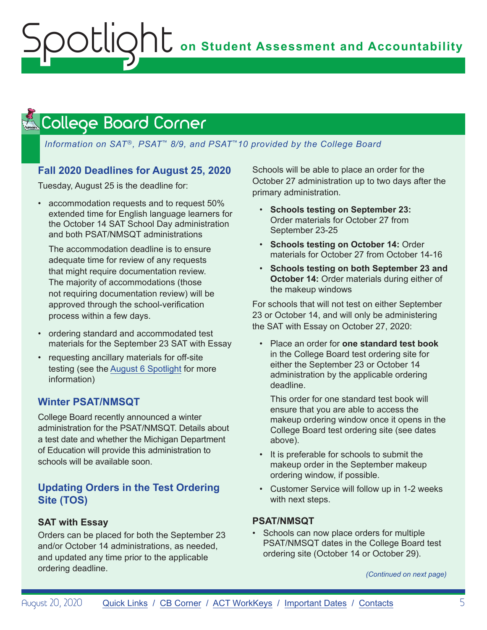# <span id="page-4-0"></span>**ONE** on Student Assessment and Accountability ootlic

### <span id="page-4-1"></span> $\triangle$  College Board Corner .

### *Information on SAT*®*, PSAT*™ *8/9, and PSAT*™*10 provided by the College Board*

### **Fall 2020 Deadlines for August 25, 2020**

Tuesday, August 25 is the deadline for:

• accommodation requests and to request 50% extended time for English language learners for the October 14 SAT School Day administration and both PSAT/NMSQT administrations

The accommodation deadline is to ensure adequate time for review of any requests that might require documentation review. The majority of accommodations (those not requiring documentation review) will be approved through the school-verification process within a few days.

- ordering standard and accommodated test materials for the September 23 SAT with Essay
- requesting ancillary materials for off-site testing (see the [August 6 Spotlight](https://www.michigan.gov/documents/mde/Spotlight_8-6-20_698659_7.pdf) for more information)

### **Winter PSAT/NMSQT**

College Board recently announced a winter administration for the PSAT/NMSQT. Details about a test date and whether the Michigan Department of Education will provide this administration to schools will be available soon.

### **Updating Orders in the Test Ordering Site (TOS)**

### **SAT with Essay**

Orders can be placed for both the September 23 and/or October 14 administrations, as needed, and updated any time prior to the applicable ordering deadline.

Schools will be able to place an order for the October 27 administration up to two days after the primary administration.

- **Schools testing on September 23:** Order materials for October 27 from September 23-25
- **Schools testing on October 14:** Order materials for October 27 from October 14-16
- **Schools testing on both September 23 and October 14:** Order materials during either of the makeup windows

For schools that will not test on either September 23 or October 14, and will only be administering the SAT with Essay on October 27, 2020:

• Place an order for **one standard test book**  in the College Board test ordering site for either the September 23 or October 14 administration by the applicable ordering deadline.

This order for one standard test book will ensure that you are able to access the makeup ordering window once it opens in the College Board test ordering site (see dates above).

- It is preferable for schools to submit the makeup order in the September makeup ordering window, if possible.
- Customer Service will follow up in 1-2 weeks with next steps.

### **PSAT/NMSQT**

• Schools can now place orders for multiple PSAT/NMSQT dates in the College Board test ordering site (October 14 or October 29).

*(Continued on next page)*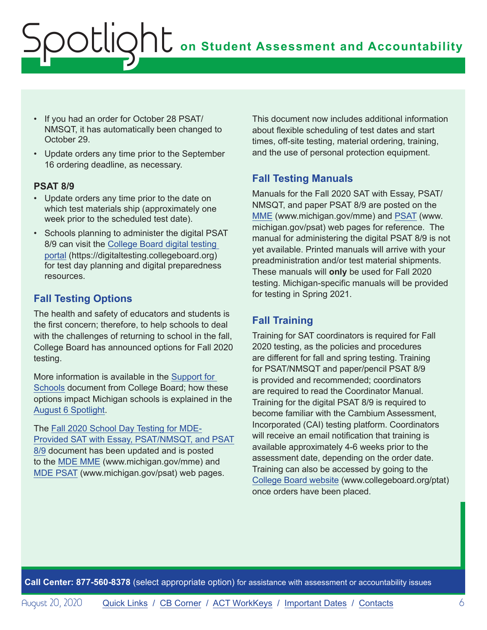- If you had an order for October 28 PSAT/ NMSQT, it has automatically been changed to October 29.
- Update orders any time prior to the September 16 ordering deadline, as necessary.

#### **PSAT 8/9**

- Update orders any time prior to the date on which test materials ship (approximately one week prior to the scheduled test date).
- Schools planning to administer the digital PSAT 8/9 can visit the [College Board digital testing](https://digitaltesting.collegeboard.org)  [portal](https://digitaltesting.collegeboard.org) (https://digitaltesting.collegeboard.org) for test day planning and digital preparedness resources.

### **Fall Testing Options**

The health and safety of educators and students is the first concern; therefore, to help schools to deal with the challenges of returning to school in the fall, College Board has announced options for Fall 2020 testing.

More information is available in the [Support for](https://collegereadiness.collegeboard.org/pdf/fall-2020-flexible-testing-options-guide-sat-suite.pdf)  [Schools](https://collegereadiness.collegeboard.org/pdf/fall-2020-flexible-testing-options-guide-sat-suite.pdf) document from College Board; how these options impact Michigan schools is explained in the [August 6 Spotlight.](https://www.michigan.gov/documents/mde/Spotlight_8-6-20_698659_7.pdf)

The [Fall 2020 School Day Testing for MDE-](https://www.michigan.gov/documents/mde/Fall_2020_School_Day_Testing_for_MDE_Provided_Assessments_690609_7.pdf)[Provided SAT with Essay, PSAT/NMSQT, and PSAT](https://www.michigan.gov/documents/mde/Fall_2020_School_Day_Testing_for_MDE_Provided_Assessments_690609_7.pdf) [8/9](https://www.michigan.gov/documents/mde/Fall_2020_School_Day_Testing_for_MDE_Provided_Assessments_690609_7.pdf) document has been updated and is posted to the [MDE MME](www.michigan.gov/mme) (www.michigan.gov/mme) and [MDE PSAT](http://www.michigan.gov/psat) (www.michigan.gov/psat) web pages.

This document now includes additional information about flexible scheduling of test dates and start times, off-site testing, material ordering, training, and the use of personal protection equipment.

### **Fall Testing Manuals**

Manuals for the Fall 2020 SAT with Essay, PSAT/ NMSQT, and paper PSAT 8/9 are posted on the [MME](www.michigan.gov/mme) (www.michigan.gov/mme) and [PSAT](http://www.michigan.gov/psat) (www. michigan.gov/psat) web pages for reference. The manual for administering the digital PSAT 8/9 is not yet available. Printed manuals will arrive with your preadministration and/or test material shipments. These manuals will **only** be used for Fall 2020 testing. Michigan-specific manuals will be provided for testing in Spring 2021.

### **Fall Training**

Training for SAT coordinators is required for Fall 2020 testing, as the policies and procedures are different for fall and spring testing. Training for PSAT/NMSQT and paper/pencil PSAT 8/9 is provided and recommended; coordinators are required to read the Coordinator Manual. Training for the digital PSAT 8/9 is required to become familiar with the Cambium Assessment, Incorporated (CAI) testing platform. Coordinators will receive an email notification that training is available approximately 4-6 weeks prior to the assessment date, depending on the order date. Training can also be accessed by going to the [College Board website](http://www.collegeboard.org/ptat) (www.collegeboard.org/ptat) once orders have been placed.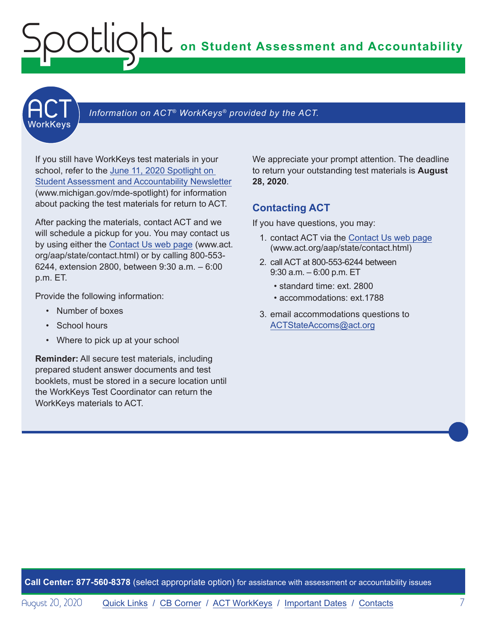<span id="page-6-0"></span>

#### Information on ACT<sup>®</sup> WorkKeys<sup>®</sup> provided by the ACT.

If you still have WorkKeys test materials in your school, refer to the [June 11, 2020 Spotlight on](https://www.michigan.gov/documents/mde/Spotlight_6-11-20_693650_7.pdf)  [Student Assessment and Accountability Newsletter](https://www.michigan.gov/documents/mde/Spotlight_6-11-20_693650_7.pdf) (www.michigan.gov/mde-spotlight) for information about packing the test materials for return to ACT.

After packing the materials, contact ACT and we will schedule a pickup for you. You may contact us by using either the [Contact Us web page](http://www.act.org/aap/state/contact.html) (www.act. org/aap/state/contact.html) or by calling 800-553- 6244, extension 2800, between 9:30 a.m. – 6:00 p.m. ET.

Provide the following information:

- Number of boxes
- School hours
- Where to pick up at your school

**Reminder:** All secure test materials, including prepared student answer documents and test booklets, must be stored in a secure location until the WorkKeys Test Coordinator can return the WorkKeys materials to ACT.

We appreciate your prompt attention. The deadline to return your outstanding test materials is **August 28, 2020**.

### **Contacting ACT**

If you have questions, you may:

- 1. contact ACT via the [Contact Us web page](http://www.act.org/aap/state/contact.html) ([www.act.org/aap/state/contact.html](https://www.act.org/aap/state/contact.html))
- 2. call ACT at 800-553-6244 between 9:30 a.m. – 6:00 p.m. ET
	- standard time: ext. 2800
	- accommodations: ext.1788
- 3. email accommodations questions to [ACTStateAccoms@act.org](mailto:ACTStateAccoms%40act.org?subject=)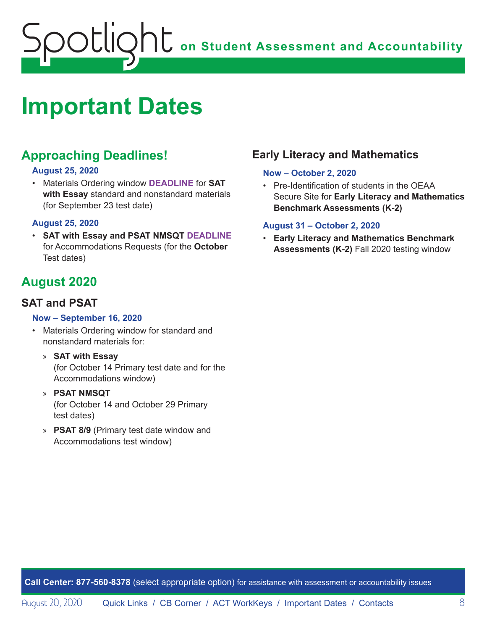# <span id="page-7-1"></span><span id="page-7-0"></span>**Important Dates**

### **Approaching Deadlines!**

### **August 25, 2020**

• Materials Ordering window **DEADLINE** for **SAT with Essay** standard and nonstandard materials (for September 23 test date)

#### **August 25, 2020**

• **SAT with Essay and PSAT NMSQT DEADLINE**  for Accommodations Requests (for the **October**  Test dates)

### **August 2020**

### **SAT and PSAT**

#### **Now – September 16, 2020**

- Materials Ordering window for standard and nonstandard materials for:
	- » **SAT with Essay** (for October 14 Primary test date and for the Accommodations window)
	- » **PSAT NMSQT** (for October 14 and October 29 Primary test dates)
	- » **PSAT 8/9** (Primary test date window and Accommodations test window)

### **Early Literacy and Mathematics**

#### **Now – October 2, 2020**

• Pre-Identification of students in the OEAA Secure Site for **Early Literacy and Mathematics Benchmark Assessments (K-2)**

### **August 31 – October 2, 2020**

• **Early Literacy and Mathematics Benchmark Assessments (K-2)** Fall 2020 testing window